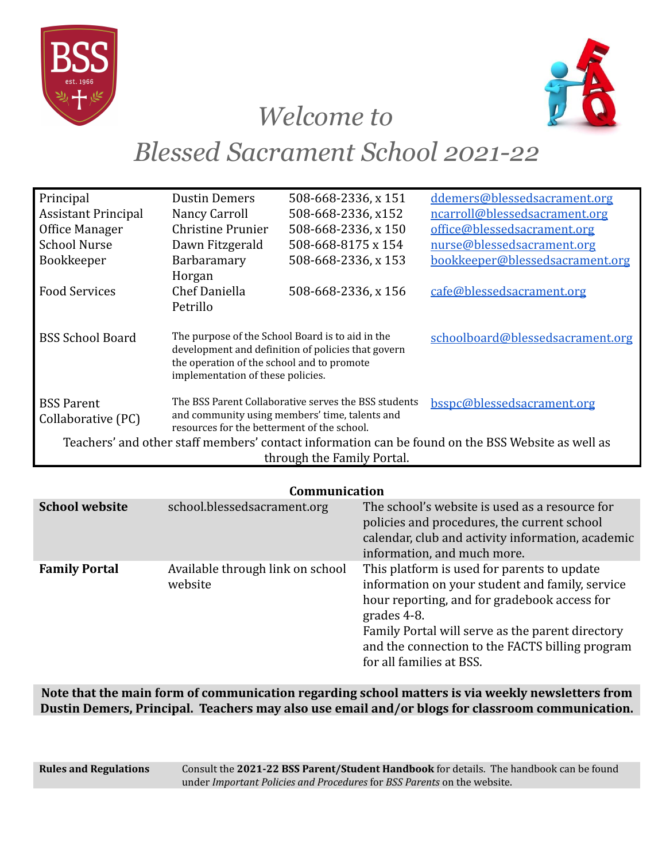



## *Welcome to*

# *Blessed Sacrament School 2021-22*

| Principal                                                                                                                                        | <b>Dustin Demers</b>              | 508-668-2336, x 151                                  | ddemers@blessedsacrament.org     |  |
|--------------------------------------------------------------------------------------------------------------------------------------------------|-----------------------------------|------------------------------------------------------|----------------------------------|--|
| <b>Assistant Principal</b>                                                                                                                       | Nancy Carroll                     | 508-668-2336, x152                                   | ncarroll@blessedsacrament.org    |  |
| Office Manager                                                                                                                                   | <b>Christine Prunier</b>          | 508-668-2336, x 150                                  | office@blessedsacrament.org      |  |
| <b>School Nurse</b>                                                                                                                              | Dawn Fitzgerald                   | 508-668-8175 x 154                                   | nurse@blessedsacrament.org       |  |
| Bookkeeper                                                                                                                                       | Barbaramary                       | 508-668-2336, x 153                                  | bookkeeper@blessedsacrament.org  |  |
|                                                                                                                                                  | Horgan                            |                                                      |                                  |  |
| <b>Food Services</b>                                                                                                                             | Chef Daniella                     | 508-668-2336, x 156                                  | cafe@blessedsacrament.org        |  |
|                                                                                                                                                  | Petrillo                          |                                                      |                                  |  |
|                                                                                                                                                  |                                   |                                                      |                                  |  |
| <b>BSS School Board</b>                                                                                                                          |                                   | The purpose of the School Board is to aid in the     | schoolboard@blessedsacrament.org |  |
| development and definition of policies that govern<br>the operation of the school and to promote                                                 |                                   |                                                      |                                  |  |
|                                                                                                                                                  | implementation of these policies. |                                                      |                                  |  |
|                                                                                                                                                  |                                   |                                                      |                                  |  |
| <b>BSS Parent</b>                                                                                                                                |                                   | The BSS Parent Collaborative serves the BSS students | bsspc@blessedsacrament.org       |  |
| Collaborative (PC)                                                                                                                               |                                   | and community using members' time, talents and       |                                  |  |
| resources for the betterment of the school.<br>Teachers' and other staff members' contact information can be found on the BSS Website as well as |                                   |                                                      |                                  |  |
|                                                                                                                                                  |                                   |                                                      |                                  |  |
| through the Family Portal.                                                                                                                       |                                   |                                                      |                                  |  |

### **Communication**

| <b>School website</b> | school.blessedsacrament.org                 | The school's website is used as a resource for<br>policies and procedures, the current school<br>calendar, club and activity information, academic<br>information, and much more.                                                                                                                |  |  |
|-----------------------|---------------------------------------------|--------------------------------------------------------------------------------------------------------------------------------------------------------------------------------------------------------------------------------------------------------------------------------------------------|--|--|
| <b>Family Portal</b>  | Available through link on school<br>website | This platform is used for parents to update<br>information on your student and family, service<br>hour reporting, and for gradebook access for<br>grades 4-8.<br>Family Portal will serve as the parent directory<br>and the connection to the FACTS billing program<br>for all families at BSS. |  |  |

**Note that the main form of communication regarding school matters is via weekly newsletters from Dustin Demers, Principal. Teachers may also use email and/or blogs for classroom communication.**

**Rules and Regulations** Consult the **2021-22 BSS Parent/Student Handbook** for details. The handbook can be found under *Important Policies and Procedures* for *BSS Parents* on the website.